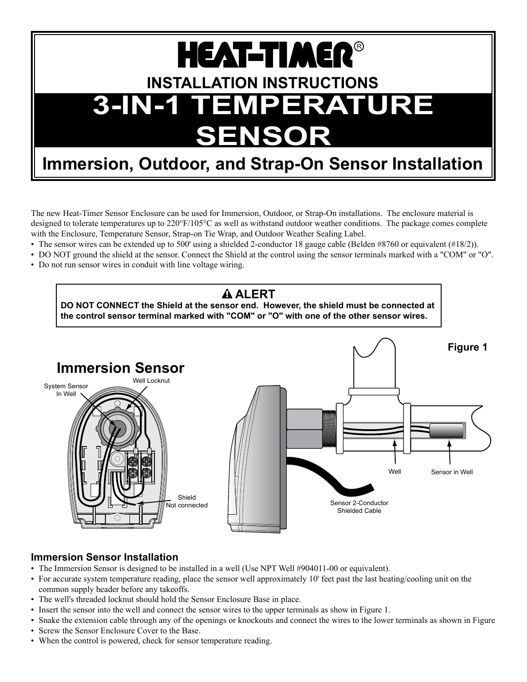# **INSTALLATION INSTRUCTIONS 3-In-1 Temperature Outdoor Sensor Sensor HEAT-TIMER®**

#### Immersion, Outdoor, and Strap-On Sensor Installation  $\parallel$ Sensor JII. location

Tie-Wraps

The new Heat-Timer Sensor Enclosure can be used for Immersion, Outdoor, or Strap-On installations. The enclosure material is designed to tolerate temperatures up to 220°F/105°C as well as withstand outdoor weather conditions. The package comes complete with the Enclosure, Temperature Sensor, Strap-on Tie Wrap, and Outdoor Weather Sealing Label.

- The sensor wires can be extended up to 500' using a shielded 2-conductor 18 gauge cable (Belden #8760 or equivalent (#18/2)).
- DO NOT ground the shield at the sensor. Connect the Shield at the control using the sensor terminals marked with a "COM" or "O".  $\mathbf{v}_1$  or  $\mathbf{v}_2$ .
- Do not run sensor wires in conduit with line voltage wiring. whes in condui

Conduit

# **Alert**

**DO NOT CONNECT the Shield at the sensor end. However, the shield must be connected at the control sensor terminal marked with "COM" or "O" with one of the other sensor wires.**



## **Immersion Sensor Installation**

- • The Immersion Sensor is designed to be installed in a well (Use NPT Well #904011-00 or equivalent).
- For accurate system temperature reading, place the sensor well approximately 10' feet past the last heating/cooling unit on the common supply header before any takeoffs.
- The well's threaded locknut should hold the Sensor Enclosure Base in place.
- • Insert the sensor into the well and connect the sensor wires to the upper terminals as show in Figure 1.
- Snake the extension cable through any of the openings or knockouts and connect the wires to the lower terminals as shown in Figure • Screw the Sensor Enclosure Cover to the Base.
- When the control is powered, check for sensor temperature reading.